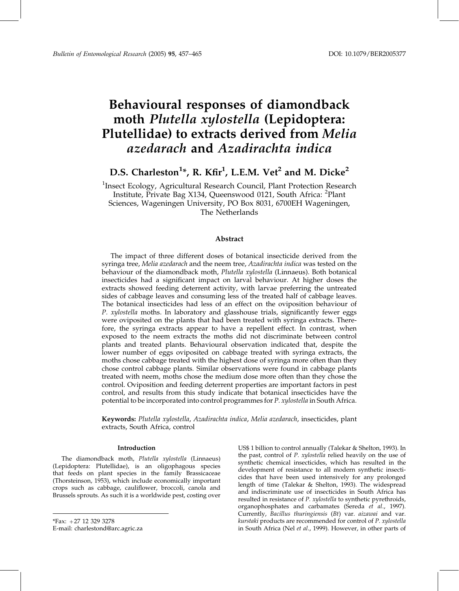# Behavioural responses of diamondback moth Plutella xylostella (Lepidoptera: Plutellidae) to extracts derived from Melia azedarach and Azadirachta indica

# D.S. Charleston<sup>1\*</sup>, R. Kfir<sup>1</sup>, L.E.M. Vet<sup>2</sup> and M. Dicke<sup>2</sup>

<sup>1</sup>Insect Ecology, Agricultural Research Council, Plant Protection Research Institute, Private Bag X134, Queenswood 0121, South Africa: <sup>2</sup>Plant Sciences, Wageningen University, PO Box 8031, 6700EH Wageningen, The Netherlands

# Abstract

The impact of three different doses of botanical insecticide derived from the syringa tree, Melia azedarach and the neem tree, Azadirachta indica was tested on the behaviour of the diamondback moth, Plutella xylostella (Linnaeus). Both botanical insecticides had a significant impact on larval behaviour. At higher doses the extracts showed feeding deterrent activity, with larvae preferring the untreated sides of cabbage leaves and consuming less of the treated half of cabbage leaves. The botanical insecticides had less of an effect on the oviposition behaviour of P. xylostella moths. In laboratory and glasshouse trials, significantly fewer eggs were oviposited on the plants that had been treated with syringa extracts. Therefore, the syringa extracts appear to have a repellent effect. In contrast, when exposed to the neem extracts the moths did not discriminate between control plants and treated plants. Behavioural observation indicated that, despite the lower number of eggs oviposited on cabbage treated with syringa extracts, the moths chose cabbage treated with the highest dose of syringa more often than they chose control cabbage plants. Similar observations were found in cabbage plants treated with neem, moths chose the medium dose more often than they chose the control. Oviposition and feeding deterrent properties are important factors in pest control, and results from this study indicate that botanical insecticides have the potential to be incorporated into control programmes for P. xylostella in South Africa.

Keywords: Plutella xylostella, Azadirachta indica, Melia azedarach, insecticides, plant extracts, South Africa, control

#### Introduction

The diamondback moth, Plutella xylostella (Linnaeus) (Lepidoptera: Plutellidae), is an oligophagous species that feeds on plant species in the family Brassicaceae (Thorsteinson, 1953), which include economically important crops such as cabbage, cauliflower, broccoli, canola and Brussels sprouts. As such it is a worldwide pest, costing over

\*Fax: +27 12 329 3278 E-mail: charlestond@arc.agric.za

US\$ 1 billion to control annually (Talekar & Shelton, 1993). In the past, control of P. xylostella relied heavily on the use of synthetic chemical insecticides, which has resulted in the development of resistance to all modern synthetic insecticides that have been used intensively for any prolonged length of time (Talekar & Shelton, 1993). The widespread and indiscriminate use of insecticides in South Africa has resulted in resistance of P. xylostella to synthetic pyrethroids, organophosphates and carbamates (Sereda et al., 1997). Currently, Bacillus thuringiensis (Bt) var. aizawai and var. kurstaki products are recommended for control of P. xylostella in South Africa (Nel et al., 1999). However, in other parts of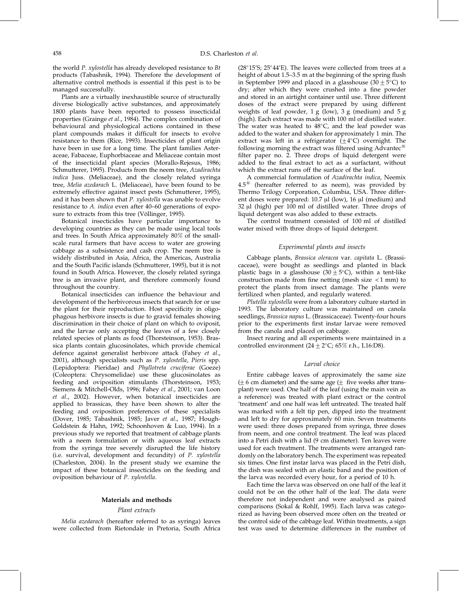the world P. xylostella has already developed resistance to Bt products (Tabashnik, 1994). Therefore the development of alternative control methods is essential if this pest is to be managed successfully.

Plants are a virtually inexhaustible source of structurally diverse biologically active substances, and approximately 1800 plants have been reported to possess insecticidal properties (Grainge et al., 1984). The complex combination of behavioural and physiological actions contained in these plant compounds makes it difficult for insects to evolve resistance to them (Rice, 1993). Insecticides of plant origin have been in use for a long time. The plant families Asteraceae, Fabaceae, Euphorbiaceae and Meliaceae contain most of the insecticidal plant species (Morallo-Rejesus, 1986; Schmutterer, 1995). Products from the neem tree, Azadirachta indica Juss. (Meliaceae), and the closely related syringa tree, Melia azedarach L. (Meliaceae), have been found to be extremely effective against insect pests (Schmutterer, 1995), and it has been shown that P. xylostella was unable to evolve resistance to A. indica even after 40–60 generations of exposure to extracts from this tree (Völlinger, 1995).

Botanical insecticides have particular importance to developing countries as they can be made using local tools and trees. In South Africa approximately 80% of the smallscale rural farmers that have access to water are growing cabbage as a subsistence and cash crop. The neem tree is widely distributed in Asia, Africa, the Americas, Australia and the South Pacific islands (Schmutterer, 1995), but it is not found in South Africa. However, the closely related syringa tree is an invasive plant, and therefore commonly found throughout the country.

Botanical insecticides can influence the behaviour and development of the herbivorous insects that search for or use the plant for their reproduction. Host specificity in oligophagous herbivore insects is due to gravid females showing discrimination in their choice of plant on which to oviposit, and the larvae only accepting the leaves of a few closely related species of plants as food (Thorsteinson, 1953). Brassica plants contain glucosinolates, which provide chemical defence against generalist herbivore attack (Fahey et al., 2001), although specialists such as P. xylostella, Pieris spp. (Lepidoptera: Pieridae) and Phyllotreta cruciferae (Goeze) (Coleoptera: Chrysomelidae) use these glucosinolates as feeding and oviposition stimulants (Thorsteinson, 1953; Siemens & Mitchell-Olds, 1996; Fahey et al., 2001; van Loon et al., 2002). However, when botanical insecticides are applied to brassicas, they have been shown to alter the feeding and oviposition preferences of these specialists (Dover, 1985; Tabashnik, 1985; Javer et al., 1987; Hough-Goldstein & Hahn, 1992; Schoonhoven & Luo, 1994). In a previous study we reported that treatment of cabbage plants with a neem formulation or with aqueous leaf extracts from the syringa tree severely disrupted the life history (i.e. survival, development and fecundity) of P. xylostella (Charleston, 2004). In the present study we examine the impact of these botanical insecticides on the feeding and oviposition behaviour of P. xylostella.

# Materials and methods

### Plant extracts

Melia azedarach (hereafter referred to as syringa) leaves were collected from Rietondale in Pretoria, South Africa

( $28^{\circ}15'$ S;  $25^{\circ}44'$ E). The leaves were collected from trees at a height of about 1.5–3.5 m at the beginning of the spring flush in September 1999 and placed in a glasshouse  $(30 \pm 5^{\circ}C)$  to dry; after which they were crushed into a fine powder and stored in an airtight container until use. Three different doses of the extract were prepared by using different weights of leaf powder, 1 g (low), 3 g (medium) and 5 g (high). Each extract was made with 100 ml of distilled water. The water was heated to  $48^{\circ}$ C, and the leaf powder was added to the water and shaken for approximately 1 min. The extract was left in a refrigerator  $(t+4)$ °C) overnight. The following morning the extract was filtered using  $Adv$ antec $^{\circledR}$ filter paper no. 2. Three drops of liquid detergent were added to the final extract to act as a surfactant, without which the extract runs off the surface of the leaf.

A commercial formulation of Azadirachta indica, Neemix  $4.5^{\circledR}$  (hereafter referred to as neem), was provided by Thermo Trilogy Corporation, Columbia, USA. Three different doses were prepared: 10.7 µl (low), 16 µl (medium) and  $32 \mu l$  (high) per  $100 \text{ ml}$  of distilled water. Three drops of liquid detergent was also added to these extracts.

The control treatment consisted of 100 ml of distilled water mixed with three drops of liquid detergent.

# Experimental plants and insects

Cabbage plants, Brassica oleracea var. capitata L. (Brassicaceae), were bought as seedlings and planted in black plastic bags in a glasshouse (30  $\pm$  5°C), within a tent-like construction made from fine netting (mesh size < 1 mm) to protect the plants from insect damage. The plants were fertilized when planted, and regularly watered.

Plutella xylostella were from a laboratory culture started in 1993. The laboratory culture was maintained on canola seedlings, Brassica napus L. (Brassicaceae). Twenty-four hours prior to the experiments first instar larvae were removed from the canola and placed on cabbage.

Insect rearing and all experiments were maintained in a controlled environment (24  $\pm$  2°C; 65% r.h., L16:D8).

#### Larval choice

Entire cabbage leaves of approximately the same size  $(+ 6$  cm diameter) and the same age  $(+$  five weeks after transplant) were used. One half of the leaf (using the main vein as a reference) was treated with plant extract or the control 'treatment' and one half was left untreated. The treated half was marked with a felt tip pen, dipped into the treatment and left to dry for approximately 60 min. Seven treatments were used: three doses prepared from syringa, three doses from neem, and one control treatment. The leaf was placed into a Petri dish with a lid (9 cm diameter). Ten leaves were used for each treatment. The treatments were arranged randomly on the laboratory bench. The experiment was repeated six times. One first instar larva was placed in the Petri dish, the dish was sealed with an elastic band and the position of the larva was recorded every hour, for a period of 10 h.

Each time the larva was observed on one half of the leaf it could not be on the other half of the leaf. The data were therefore not independent and were analysed as paired comparisons (Sokal & Rohlf, 1995). Each larva was categorized as having been observed more often on the treated or the control side of the cabbage leaf. Within treatments, a sign test was used to determine differences in the number of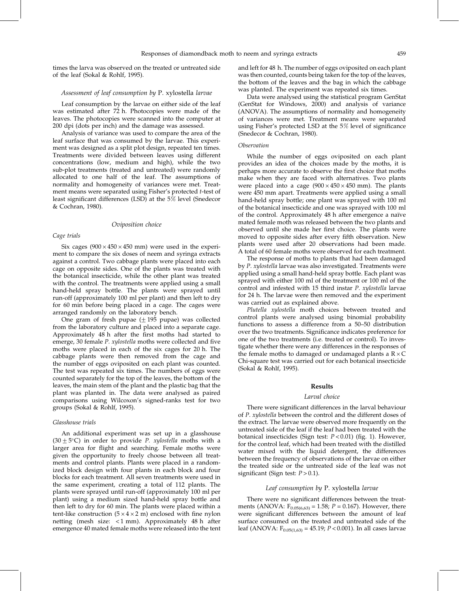times the larva was observed on the treated or untreated side of the leaf (Sokal & Rohlf, 1995).

# Assessment of leaf consumption by P. xylostella larvae

Leaf consumption by the larvae on either side of the leaf was estimated after 72 h. Photocopies were made of the leaves. The photocopies were scanned into the computer at 200 dpi (dots per inch) and the damage was assessed.

Analysis of variance was used to compare the area of the leaf surface that was consumed by the larvae. This experiment was designed as a split plot design, repeated ten times. Treatments were divided between leaves using different concentrations (low, medium and high), while the two sub-plot treatments (treated and untreated) were randomly allocated to one half of the leaf. The assumptions of normality and homogeneity of variances were met. Treatment means were separated using Fisher's protected t-test of least significant differences (LSD) at the 5% level (Snedecor & Cochran, 1980).

### Oviposition choice

Cage trials

Six cages  $(900 \times 450 \times 450$  mm) were used in the experiment to compare the six doses of neem and syringa extracts against a control. Two cabbage plants were placed into each cage on opposite sides. One of the plants was treated with the botanical insecticide, while the other plant was treated with the control. The treatments were applied using a small hand-held spray bottle. The plants were sprayed until run-off (approximately 100 ml per plant) and then left to dry for 60 min before being placed in a cage. The cages were arranged randomly on the laboratory bench.

One gram of fresh pupae  $(\pm 195$  pupae) was collected from the laboratory culture and placed into a separate cage. Approximately 48 h after the first moths had started to emerge, 30 female P. xylostella moths were collected and five moths were placed in each of the six cages for 20 h. The cabbage plants were then removed from the cage and the number of eggs oviposited on each plant was counted. The test was repeated six times. The numbers of eggs were counted separately for the top of the leaves, the bottom of the leaves, the main stem of the plant and the plastic bag that the plant was planted in. The data were analysed as paired comparisons using Wilcoxon's signed-ranks test for two groups (Sokal & Rohlf, 1995).

#### Glasshouse trials

An additional experiment was set up in a glasshouse  $(30 \pm 5^{\circ}C)$  in order to provide *P. xylostella* moths with a larger area for flight and searching. Female moths were given the opportunity to freely choose between all treatments and control plants. Plants were placed in a randomized block design with four plants in each block and four blocks for each treatment. All seven treatments were used in the same experiment, creating a total of 112 plants. The plants were sprayed until run-off (approximately 100 ml per plant) using a medium sized hand-held spray bottle and then left to dry for 60 min. The plants were placed within a tent-like construction  $(5 \times 4 \times 2 \text{ m})$  enclosed with fine nylon netting (mesh size: < 1 mm). Approximately 48 h after emergence 40 mated female moths were released into the tent

and left for 48 h. The number of eggs oviposited on each plant was then counted, counts being taken for the top of the leaves, the bottom of the leaves and the bag in which the cabbage was planted. The experiment was repeated six times.

Data were analysed using the statistical program GenStat (GenStat for Windows, 2000) and analysis of variance (ANOVA). The assumptions of normality and homogeneity of variances were met. Treatment means were separated using Fisher's protected LSD at the 5% level of significance (Snedecor & Cochran, 1980).

# Observation

While the number of eggs oviposited on each plant provides an idea of the choices made by the moths, it is perhaps more accurate to observe the first choice that moths make when they are faced with alternatives. Two plants were placed into a cage  $(900 \times 450 \times 450 \text{ mm})$ . The plants were 450 mm apart. Treatments were applied using a small hand-held spray bottle; one plant was sprayed with 100 ml of the botanical insecticide and one was sprayed with 100 ml of the control. Approximately 48 h after emergence a naïve mated female moth was released between the two plants and observed until she made her first choice. The plants were moved to opposite sides after every fifth observation. New plants were used after 20 observations had been made. A total of 60 female moths were observed for each treatment.

The response of moths to plants that had been damaged by P. xylostella larvae was also investigated. Treatments were applied using a small hand-held spray bottle. Each plant was sprayed with either 100 ml of the treatment or 100 ml of the control and infested with 15 third instar P. xylostella larvae for 24 h. The larvae were then removed and the experiment was carried out as explained above.

Plutella xylostella moth choices between treated and control plants were analysed using binomial probability functions to assess a difference from a 50–50 distribution over the two treatments. Significance indicates preference for one of the two treatments (i.e. treated or control). To investigate whether there were any differences in the responses of the female moths to damaged or undamaged plants a  $R \times C$ Chi-square test was carried out for each botanical insecticide (Sokal & Rohlf, 1995).

#### Results

#### Larval choice

There were significant differences in the larval behaviour of P. xylostella between the control and the different doses of the extract. The larvae were observed more frequently on the untreated side of the leaf if the leaf had been treated with the botanical insecticides (Sign test: P < 0.01) (fig. 1). However, for the control leaf, which had been treated with the distilled water mixed with the liquid detergent, the differences between the frequency of observations of the larvae on either the treated side or the untreated side of the leaf was not significant (Sign test:  $P > 0.1$ ).

#### Leaf consumption by P. xylostella larvae

There were no significant differences between the treatments (ANOVA:  $F_{0.05(6,63)} = 1.58$ ;  $P = 0.167$ ). However, there were significant differences between the amount of leaf surface consumed on the treated and untreated side of the leaf (ANOVA:  $F_{0.05(1,63)} = 45.19$ ;  $P < 0.001$ ). In all cases larvae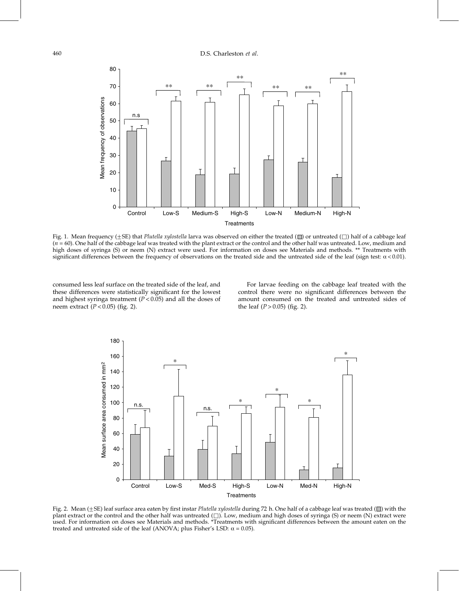

Fig. 1. Mean frequency ( $\pm$ SE) that Plutella xylostella larva was observed on either the treated ( $\square$ ) or untreated ( $\square$ ) half of a cabbage leaf  $(n = 60)$ . One half of the cabbage leaf was treated with the plant extract or the control and the other half was untreated. Low, medium and high doses of syringa (S) or neem (N) extract were used. For information on doses see Materials and methods. \*\* Treatments with significant differences between the frequency of observations on the treated side and the untreated side of the leaf (sign test:  $\alpha$  < 0.01).

consumed less leaf surface on the treated side of the leaf, and these differences were statistically significant for the lowest and highest syringa treatment  $(P < 0.05)$  and all the doses of neem extract  $(P < 0.05)$  (fig. 2).

For larvae feeding on the cabbage leaf treated with the control there were no significant differences between the amount consumed on the treated and untreated sides of the leaf  $(P > 0.05)$  (fig. 2).



Fig. 2. Mean ( $\pm$ SE) leaf surface area eaten by first instar Plutella xylostella during 72 h. One half of a cabbage leaf was treated ( $\square$ ) with the plant extract or the control and the other half was untreated  $(\Box)$ . Low, medium and high doses of syringa (S) or neem (N) extract were used. For information on doses see Materials and methods. \*Treatments with significant differences between the amount eaten on the treated and untreated side of the leaf (ANOVA; plus Fisher's LSD:  $\alpha$  = 0.05).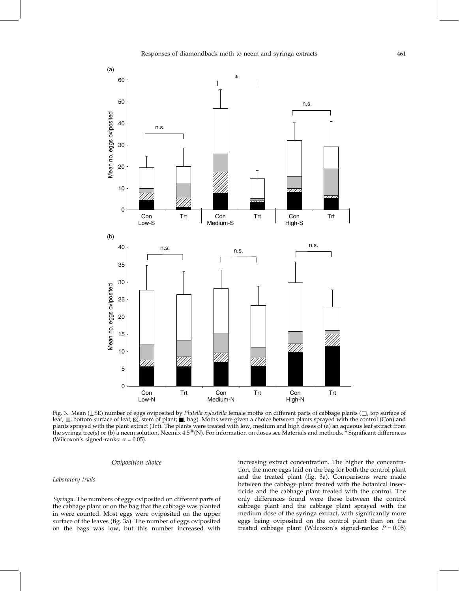

Fig. 3. Mean ( $\pm$ SE) number of eggs oviposited by Plutella xylostella female moths on different parts of cabbage plants ( $\Box$ , top surface of leaf;  $\Box$ , bottom surface of leaf;  $\Box$ , stem of plant;  $\Box$ , bag). Moths were given a choice between plants sprayed with the control (Con) and plants sprayed with the plant extract (Trt). The plants were treated with low, medium and high doses of (a) an aqueous leaf extract from<br>the syringa tree(s) or (b) a neem solution, Neemix 4.5®(N). For information on doses (Wilcoxon's signed-ranks:  $\alpha = 0.05$ ).

#### Oviposition choice

#### Laboratory trials

Syringa. The numbers of eggs oviposited on different parts of the cabbage plant or on the bag that the cabbage was planted in were counted. Most eggs were oviposited on the upper surface of the leaves (fig. 3a). The number of eggs oviposited on the bags was low, but this number increased with

increasing extract concentration. The higher the concentration, the more eggs laid on the bag for both the control plant and the treated plant (fig. 3a). Comparisons were made between the cabbage plant treated with the botanical insecticide and the cabbage plant treated with the control. The only differences found were those between the control cabbage plant and the cabbage plant sprayed with the medium dose of the syringa extract, with significantly more eggs being oviposited on the control plant than on the treated cabbage plant (Wilcoxon's signed-ranks:  $P = 0.05$ )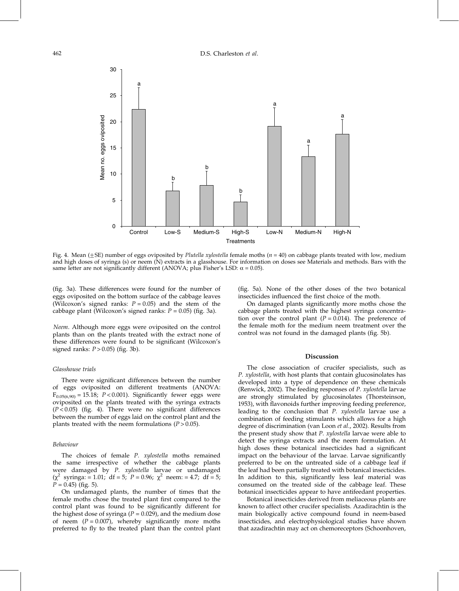

Fig. 4. Mean ( $\pm$ SE) number of eggs oviposited by Plutella xylostella female moths ( $n = 40$ ) on cabbage plants treated with low, medium and high doses of syringa (s) or neem (N) extracts in a glasshouse. For information on doses see Materials and methods. Bars with the same letter are not significantly different (ANOVA; plus Fisher's LSD:  $\alpha$  = 0.05).

(fig. 3a). These differences were found for the number of eggs oviposited on the bottom surface of the cabbage leaves (Wilcoxon's signed ranks:  $P = 0.05$ ) and the stem of the cabbage plant (Wilcoxon's signed ranks:  $P = 0.05$ ) (fig. 3a).

Neem. Although more eggs were oviposited on the control plants than on the plants treated with the extract none of these differences were found to be significant (Wilcoxon's signed ranks:  $P > 0.05$ ) (fig. 3b).

#### Glasshouse trials

There were significant differences between the number of eggs oviposited on different treatments (ANOVA:  $F_{0.05(6,90)} = 15.18; P < 0.001$ ). Significantly fewer eggs were oviposited on the plants treated with the syringa extracts  $(P < 0.05)$  (fig. 4). There were no significant differences between the number of eggs laid on the control plant and the plants treated with the neem formulations  $(P > 0.05)$ .

#### Behaviour

The choices of female P. xylostella moths remained the same irrespective of whether the cabbage plants were damaged by P. xylostella larvae or undamaged  $(\chi^2 \text{ syringa: } = 1.01; \text{ df} = 5; P = 0.96; \chi^2 \text{ neem: } = 4.7; \text{ df} = 5;$  $P = 0.45$ ) (fig. 5).

On undamaged plants, the number of times that the female moths chose the treated plant first compared to the control plant was found to be significantly different for the highest dose of syringa ( $P = 0.029$ ), and the medium dose of neem  $(P = 0.007)$ , whereby significantly more moths preferred to fly to the treated plant than the control plant

(fig. 5a). None of the other doses of the two botanical insecticides influenced the first choice of the moth.

On damaged plants significantly more moths chose the cabbage plants treated with the highest syringa concentration over the control plant ( $P = 0.014$ ). The preference of the female moth for the medium neem treatment over the control was not found in the damaged plants (fig. 5b).

#### Discussion

The close association of crucifer specialists, such as P. xylostella, with host plants that contain glucosinolates has developed into a type of dependence on these chemicals (Renwick, 2002). The feeding responses of P. xylostella larvae are strongly stimulated by glucosinolates (Thorsteinson, 1953), with flavonoids further improving feeding preference, leading to the conclusion that  $P.$  xylostella larvae use a combination of feeding stimulants which allows for a high degree of discrimination (van Loon et al., 2002). Results from the present study show that P. xylostella larvae were able to detect the syringa extracts and the neem formulation. At high doses these botanical insecticides had a significant impact on the behaviour of the larvae. Larvae significantly preferred to be on the untreated side of a cabbage leaf if the leaf had been partially treated with botanical insecticides. In addition to this, significantly less leaf material was consumed on the treated side of the cabbage leaf. These botanical insecticides appear to have antifeedant properties.

Botanical insecticides derived from meliaceous plants are known to affect other crucifer specialists. Azadirachtin is the main biologically active compound found in neem-based insecticides, and electrophysiological studies have shown that azadirachtin may act on chemoreceptors (Schoonhoven,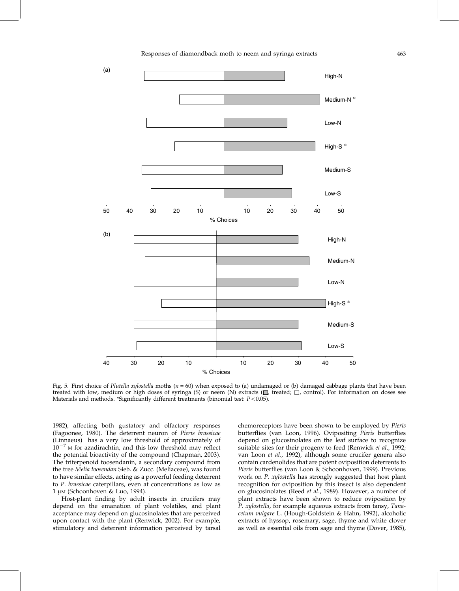Responses of diamondback moth to neem and syringa extracts 463



Fig. 5. First choice of Plutella xylostella moths ( $n = 60$ ) when exposed to (a) undamaged or (b) damaged cabbage plants that have been treated with low, medium or high doses of syringa (S) or neem (N) extracts ( $\square$ , treated;  $\square$ , control). For information on doses see Materials and methods. \*Significantly different treatments (binomial test: P < 0.05).

1982), affecting both gustatory and olfactory responses (Fagoonee, 1980). The deterrent neuron of Pieris brassicae (Linnaeus) has a very low threshold of approximately of  $10^{-7}$  M for azadirachtin, and this low threshold may reflect the potential bioactivity of the compound (Chapman, 2003). The triterpenoid toosendanin, a secondary compound from the tree Melia toosendan Sieb. & Zucc. (Meliaceae), was found to have similar effects, acting as a powerful feeding deterrent to P. brassicae caterpillars, even at concentrations as low as 1 μm (Schoonhoven & Luo, 1994).

Host-plant finding by adult insects in crucifers may depend on the emanation of plant volatiles, and plant acceptance may depend on glucosinolates that are perceived upon contact with the plant (Renwick, 2002). For example, stimulatory and deterrent information perceived by tarsal

chemoreceptors have been shown to be employed by Pieris butterflies (van Loon, 1996). Ovipositing Pieris butterflies depend on glucosinolates on the leaf surface to recognize suitable sites for their progeny to feed (Renwick et al., 1992; van Loon et al., 1992), although some crucifer genera also contain cardenolides that are potent oviposition deterrents to Pieris butterflies (van Loon & Schoonhoven, 1999). Previous work on P. xylostella has strongly suggested that host plant recognition for oviposition by this insect is also dependent on glucosinolates (Reed et al., 1989). However, a number of plant extracts have been shown to reduce oviposition by P. xylostella, for example aqueous extracts from tansy, Tanacetum vulgare L. (Hough-Goldstein & Hahn, 1992), alcoholic extracts of hyssop, rosemary, sage, thyme and white clover as well as essential oils from sage and thyme (Dover, 1985),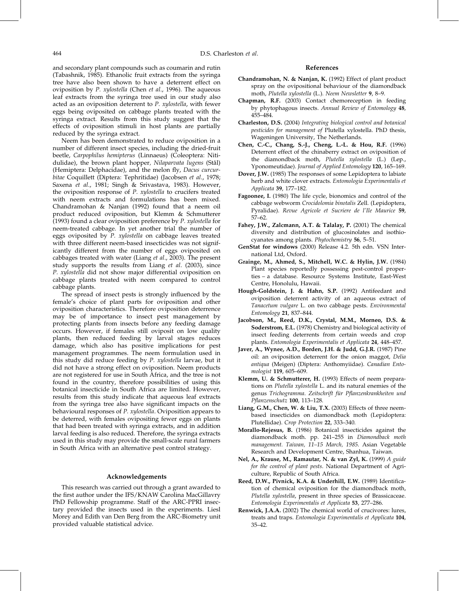and secondary plant compounds such as coumarin and rutin (Tabashnik, 1985). Ethanolic fruit extracts from the syringa tree have also been shown to have a deterrent effect on oviposition by P. xylostella (Chen et al., 1996). The aqueous leaf extracts from the syringa tree used in our study also acted as an oviposition deterrent to P. xylostella, with fewer eggs being oviposited on cabbage plants treated with the syringa extract. Results from this study suggest that the effects of oviposition stimuli in host plants are partially reduced by the syringa extract.

Neem has been demonstrated to reduce oviposition in a number of different insect species, including the dried-fruit beetle, Carpophilus hemipterus (Linnaeus) (Coleoptera: Nitidulidae), the brown plant hopper, Nilaparvata lugens (Stål) (Hemiptera: Delphacidae), and the melon fly, Dacus curcurbitae Coquillett (Diptera: Tephritidae) (Jacobsen et al., 1978; Saxena et al., 1981; Singh & Srivastava, 1983). However, the oviposition response of P. xylostella to crucifers treated with neem extracts and formulations has been mixed. Chandramohan & Nanjan (1992) found that a neem oil product reduced oviposition, but Klemm & Schmutterer (1993) found a clear oviposition preference by P. xylostella for neem-treated cabbage. In yet another trial the number of eggs oviposited by P. xylostella on cabbage leaves treated with three different neem-based insecticides was not significantly different from the number of eggs oviposited on cabbages treated with water (Liang et al., 2003). The present study supports the results from Liang et al. (2003), since P. xylostella did not show major differential oviposition on cabbage plants treated with neem compared to control cabbage plants.

The spread of insect pests is strongly influenced by the female's choice of plant parts for oviposition and other oviposition characteristics. Therefore oviposition deterrence may be of importance to insect pest management by protecting plants from insects before any feeding damage occurs. However, if females still oviposit on low quality plants, then reduced feeding by larval stages reduces damage, which also has positive implications for pest management programmes. The neem formulation used in this study did reduce feeding by P. xylostella larvae, but it did not have a strong effect on oviposition. Neem products are not registered for use in South Africa, and the tree is not found in the country, therefore possibilities of using this botanical insecticide in South Africa are limited. However, results from this study indicate that aqueous leaf extracts from the syringa tree also have significant impacts on the behavioural responses of P. xylostella. Oviposition appears to be deterred, with females ovipositing fewer eggs on plants that had been treated with syringa extracts, and in addition larval feeding is also reduced. Therefore, the syringa extracts used in this study may provide the small-scale rural farmers in South Africa with an alternative pest control strategy.

#### Acknowledgements

This research was carried out through a grant awarded to the first author under the IFS/KNAW Carolina MacGillavry PhD Fellowship programme. Staff of the ARC-PPRI insectary provided the insects used in the experiments. Liesl Morey and Edith van Den Berg from the ARC-Biometry unit provided valuable statistical advice.

# References

- Chandramohan, N. & Nanjan, K. (1992) Effect of plant product spray on the ovipositional behaviour of the diamondback moth, Plutella xylostella (L.). Neem Newsletter 9, 8–9.
- Chapman, R.F. (2003) Contact chemoreception in feeding by phytophagous insects. Annual Review of Entomology 48, 455–484.
- Charleston, D.S. (2004) Integrating biological control and botanical pesticides for management of Plutella xylostella. PhD thesis, Wageningen University, The Netherlands.
- Chen, C.-C., Chang, S.-J., Cheng, L.-L. & Hou, R.F. (1996) Deterrent effect of the chinaberry extract on oviposition of the diamondback moth, Plutella xylostella (L.) (Lep., Yponomeutidae). Journal of Applied Entomology 120, 165–169.
- Dover, J.W. (1985) The responses of some Lepidoptera to labiate herb and white clover extracts. Entomologia Experimentalis et Applicata 39, 177–182.
- Fagoonee, I. (1980) The life cycle, bionomics and control of the cabbage webworm Crocidolomia binotalis Zell. (Lepidoptera, Pyralidae). Revue Agricole et Sucriere de l'Ile Maurice 59, 57–62.
- Fahey, J.W., Zalcmann, A.T. & Talalay, P. (2001) The chemical diversity and distribution of glucosinolates and isothiocyanates among plants. Phytochemistry 56, 5–51.
- GenStat for windows (2000) Release 4.2. 5th edn. VSN International Ltd, Oxford.
- Grainge, M., Ahmed, S., Mitchell, W.C. & Hylin, J.W. (1984) Plant species reportedly possessing pest-control properties – a database. Resource Systems Institute, East-West Centre, Honolulu, Hawaii.
- Hough-Goldstein, J. & Hahn, S.P. (1992) Antifeedant and oviposition deterrent activity of an aqueous extract of Tanacetum vulgare L. on two cabbage pests. Environmental Entomology 21, 837–844.
- Jacobson, M., Reed, D.K., Crystal, M.M., Morneo, D.S. & Soderstrom, E.L. (1978) Chemistry and biological activity of insect feeding deterrents from certain weeds and crop plants. Entomologia Experimentalis et Applicata 24, 448–457.
- Javer, A., Wynee, A.D., Borden, J.H. & Judd, G.J.R. (1987) Pine oil: an oviposition deterrent for the onion maggot, Delia antiqua (Meigen) (Diptera: Anthomyiidae). Canadian Entomologist 119, 605–609.
- Klemm, U. & Schmutterer, H. (1993) Effects of neem preparations on Plutella xylostella L. and its natural enemies of the genus Trichogramma. Zeitschrift für Pflanzenkrankheiten und Pflanzenschutz 100, 113–128.
- Liang, G.M., Chen, W. & Liu, T.X. (2003) Effects of three neembased insecticides on diamondback moth (Lepidoptera: Plutellidae). Crop Protection 22, 333–340.
- Morallo-Rejesus, B. (1986) Botanical insecticides against the diamondback moth. pp. 241–255 in Diamondback moth management. Taiwan, 11–15 March, 1985. Asian Vegetable Research and Development Centre, Shanhua, Taiwan.
- Nel, A., Krause, M., Ramautar, N. & van Zyl, K. (1999) A guide for the control of plant pests. National Department of Agriculture, Republic of South Africa.
- Reed, D.W., Pivnick, K.A. & Underhill, E.W. (1989) Identification of chemical oviposition for the diamondback moth, Plutella xylostella, present in three species of Brassicaceae. Entomologia Experimentalis et Applicata 53, 277–286.
- Renwick, J.A.A. (2002) The chemical world of crucivores: lures, treats and traps. Entomologia Experimentalis et Applicata 104, 35–42.